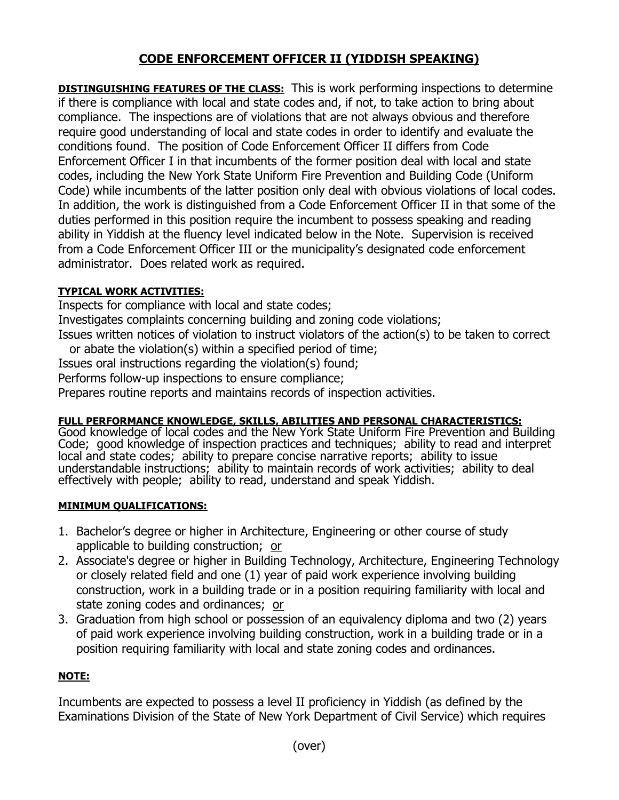# **CODE ENFORCEMENT OFFICER II (YIDDISH SPEAKING)**

**DISTINGUISHING FEATURES OF THE CLASS:** This is work performing inspections to determine if there is compliance with local and state codes and, if not, to take action to bring about compliance. The inspections are of violations that are not always obvious and therefore require good understanding of local and state codes in order to identify and evaluate the conditions found. The position of Code Enforcement Officer II differs from Code Enforcement Officer I in that incumbents of the former position deal with local and state codes, including the New York State Uniform Fire Prevention and Building Code (Uniform Code) while incumbents of the latter position only deal with obvious violations of local codes. In addition, the work is distinguished from a Code Enforcement Officer II in that some of the duties performed in this position require the incumbent to possess speaking and reading ability in Yiddish at the fluency level indicated below in the Note. Supervision is received from a Code Enforcement Officer III or the municipality's designated code enforcement administrator. Does related work as required.

### **TYPICAL WORK ACTIVITIES:**

Inspects for compliance with local and state codes;

Investigates complaints concerning building and zoning code violations;

Issues written notices of violation to instruct violators of the action(s) to be taken to correct or abate the violation(s) within a specified period of time;

Issues oral instructions regarding the violation(s) found;

Performs follow-up inspections to ensure compliance;

Prepares routine reports and maintains records of inspection activities.

# **FULL PERFORMANCE KNOWLEDGE, SKILLS, ABILITIES AND PERSONAL CHARACTERISTICS:**

Good knowledge of local codes and the New York State Uniform Fire Prevention and Building Code; good knowledge of inspection practices and techniques; ability to read and interpret local and state codes; ability to prepare concise narrative reports; ability to issue understandable instructions; ability to maintain records of work activities; ability to deal effectively with people; ability to read, understand and speak Yiddish.

# **MINIMUM QUALIFICATIONS:**

- 1. Bachelor's degree or higher in Architecture, Engineering or other course of study applicable to building construction; or
- 2. Associate's degree or higher in Building Technology, Architecture, Engineering Technology or closely related field and one (1) year of paid work experience involving building construction, work in a building trade or in a position requiring familiarity with local and state zoning codes and ordinances; or
- 3. Graduation from high school or possession of an equivalency diploma and two (2) years of paid work experience involving building construction, work in a building trade or in a position requiring familiarity with local and state zoning codes and ordinances.

# **NOTE:**

Incumbents are expected to possess a level II proficiency in Yiddish (as defined by the Examinations Division of the State of New York Department of Civil Service) which requires